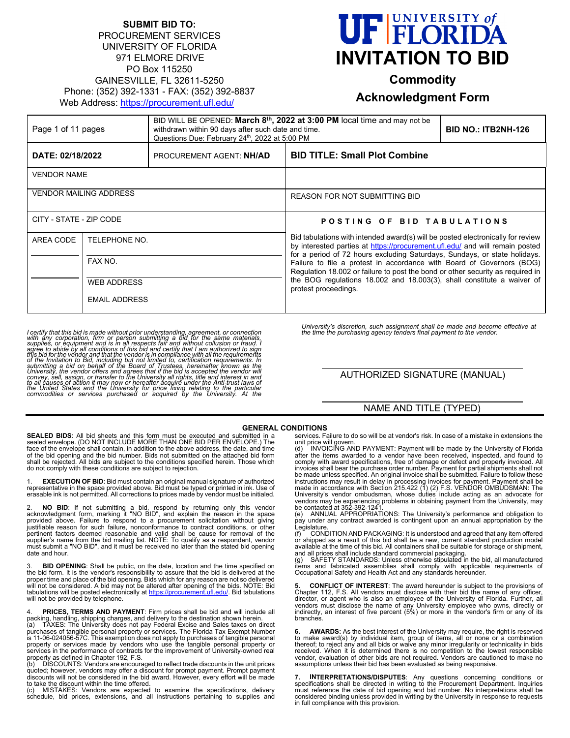#### **SUBMIT BID TO:**  PROCUREMENT SERVICES UNIVERSITY OF FLORIDA 971 ELMORE DRIVE PO Box 115250 GAINESVILLE, FL 32611-5250 Phone: (352) 392-1331 - FAX: (352) 392-8837 Web Address: https://procurement.ufl.edu/



# **Commodity**

## **Acknowledgment Form**

| Page 1 of 11 pages            |                      | BID WILL BE OPENED: March $8th$ , 2022 at 3:00 PM local time and may not be<br>withdrawn within 90 days after such date and time.<br>Questions Due: February 24th, 2022 at 5:00 PM |                                                                                                                                                                                                                                                                                                                                                                                                                                                                                                           | <b>BID NO.: ITB2NH-126</b> |
|-------------------------------|----------------------|------------------------------------------------------------------------------------------------------------------------------------------------------------------------------------|-----------------------------------------------------------------------------------------------------------------------------------------------------------------------------------------------------------------------------------------------------------------------------------------------------------------------------------------------------------------------------------------------------------------------------------------------------------------------------------------------------------|----------------------------|
| DATE: 02/18/2022              |                      | PROCUREMENT AGENT: NH/AD                                                                                                                                                           | <b>BID TITLE: Small Plot Combine</b>                                                                                                                                                                                                                                                                                                                                                                                                                                                                      |                            |
| <b>VENDOR NAME</b>            |                      |                                                                                                                                                                                    |                                                                                                                                                                                                                                                                                                                                                                                                                                                                                                           |                            |
| <b>VENDOR MAILING ADDRESS</b> |                      |                                                                                                                                                                                    | REASON FOR NOT SUBMITTING BID                                                                                                                                                                                                                                                                                                                                                                                                                                                                             |                            |
| CITY - STATE - ZIP CODE       |                      |                                                                                                                                                                                    | POSTING OF BID TABULATIONS                                                                                                                                                                                                                                                                                                                                                                                                                                                                                |                            |
| AREA CODE                     | TELEPHONE NO.        |                                                                                                                                                                                    | Bid tabulations with intended award(s) will be posted electronically for review<br>by interested parties at https://procurement.ufl.edu/ and will remain posted<br>for a period of 72 hours excluding Saturdays, Sundays, or state holidays.<br>Failure to file a protest in accordance with Board of Governors (BOG)<br>Regulation 18.002 or failure to post the bond or other security as reguired in<br>the BOG regulations 18.002 and 18.003(3), shall constitute a waiver of<br>protest proceedings. |                            |
|                               | FAX NO.              |                                                                                                                                                                                    |                                                                                                                                                                                                                                                                                                                                                                                                                                                                                                           |                            |
|                               | <b>WEB ADDRESS</b>   |                                                                                                                                                                                    |                                                                                                                                                                                                                                                                                                                                                                                                                                                                                                           |                            |
|                               | <b>EMAIL ADDRESS</b> |                                                                                                                                                                                    |                                                                                                                                                                                                                                                                                                                                                                                                                                                                                                           |                            |

I certify that this bid is made without prior understanding, agreement, or connection with any corporation, firm or person subpiliering a bid for the same materials, supplies, or equipment and is in all respects fair and w

*University's discretion, such assignment shall be made and become effective at the time the purchasing agency tenders final payment to the vendor.* 

AUTHORIZED SIGNATURE (MANUAL)

### NAME AND TITLE (TYPED)

#### **GENERAL CONDITIONS**

**SEALED BIDS**: All bid sheets and this form must be executed and submitted in a sealed envelope. (DO NOT INCLUDE MORE THAN ONE BID PER ENVELOPE.) The face of the envelope shall contain, in addition to the above address, the date, and time<br>of the bid opening and the bid number. Bids not submitted on the attached bid form<br>shall be rejected. All bids are subject to the con do not comply with these conditions are subject to rejection.

1. **EXECUTION OF BID**: Bid must contain an original manual signature of authorized representative in the space provided above. Bid must be typed or printed in ink. Use of erasable ink is not permitted. All corrections to prices made by vendor must be initialed.

2. **NO BID**: If not submitting a bid, respond by returning only this vendor acknowledgment form, marking it "NO BID", and explain the reason in the space provided above. Failure to respond to a procurement solicitation without giving justifiable reason for such failure, nonconformance to contract conditions, or other<br>pertinent factors deemed reasonable and valid shall be cause for removal of the<br>supplier's name from the bid mailing list. NOTE: To quali date and hour.

3. BID OPENING: Shall be public, on the date, location and the time specified on<br>the bid form. It is the vendor's responsibility to assure that the bid is delivered at the<br>proper time and place of the bid opening. Bids whi will not be considered. A bid may not be altered after opening of the bids. NOTE: Bid<br>tabulations will be posted electronically at <u>https://procurement.ufl.edu/</u>. Bid tabulations<br>will not be provided by telephone.

4. **PRICES, TERMS AND PAYMENT**: Firm prices shall be bid and will include all<br>packing, handling, shipping charges, and delivery to the destination shown herein.<br>(a) TAXES: The University does not pay Federal Excise and S

purchases of tangible personal property or services. The Florida Tax Exempt Number<br>is 11-06-024056-57C. This exemption does not apply to purchases of tangible personal<br>property or services made by vendors who use the tangi

(b) DISCOUNTS: Vendors are encouraged to reflect trade discounts in the unit prices quoted; however, vendors may offer a discount for prompt payment. Prompt payment discounts will not be considered in the bid award. However, every effort will be made to take the discount within the time offered.

(c) MISTAKES: Vendors are expected to examine the specifications, delivery schedule, bid prices, extensions, and all instructions pertaining to supplies and

services. Failure to do so will be at vendor's risk. In case of a mistake in extensions the unit price will govern.

(d) INVOICING AND PAYMENT: Payment will be made by the University of Florida after the items awarded to a vendor have been received, inspected, and found to comply with award specifications, free of damage or defect and properly invoiced. All<br>invoices shall bear the purchase order number. Payment for partial shipments shall not<br>be made unless specified. An original invoice sha instructions may result in delay in processing invoices for payment. Payment shall be<br>made in accordance with Section 215.422 (1) (2) F.S. VENDOR OMBUDSMAN: The<br>University's vendor ombudsman, whose duties include act vendors may be experiencing problems in obtaining payment from the University, may

be contacted at 352-392-1241<br>(e) ANNUAL APPROPRIAT (e) ANNUAL APPROPRIATIONS: The University's performance and obligation to pay under any contract awarded is contingent upon an annual appropriation by the Legislature.

(f) CONDITION AND PACKAGING: It is understood and agreed that any item offered or shipped as a result of this bid shall be a new, current standard production model available at the time of this bid. All containers shall be suitable for storage or shipment,

and all prices shall include standard commercial packaging.<br>(g) SAFETY STANDARDS: Unless otherwise stipulated in the bid, all manufactured<br>items and fabricated assemblies shall comply with applicable requirements

**5. CONFLICT OF INTEREST**: The award hereunder is subject to the provisions of Chapter 112, F.S. All vendors must disclose with their bid the name of any officer,<br>director, or agent who is also an employee of the University of Florida. Further, all<br>vendors must disclose the name of any University emp branches.

**6. AWARDS:** As the best interest of the University may require, the right is reserved<br>to make award(s) by individual item, group of items, all or none or a combination<br>thereof; to reject any and all bids or waive any received. When it is determined there is no competition to the lowest responsible vendor, evaluation of other bids are not required. Vendors are cautioned to make no assumptions unless their bid has been evaluated as being responsive.

**7. INTERPRETATIONS/DISPUTES**: Any questions concerning conditions or specifications shall be directed in writing to the Procurement Department. Inquiries<br>must reference the date of bid opening and bid number. No interpretations shall be<br>considered binding unless provided in writing by the U in full compliance with this provision.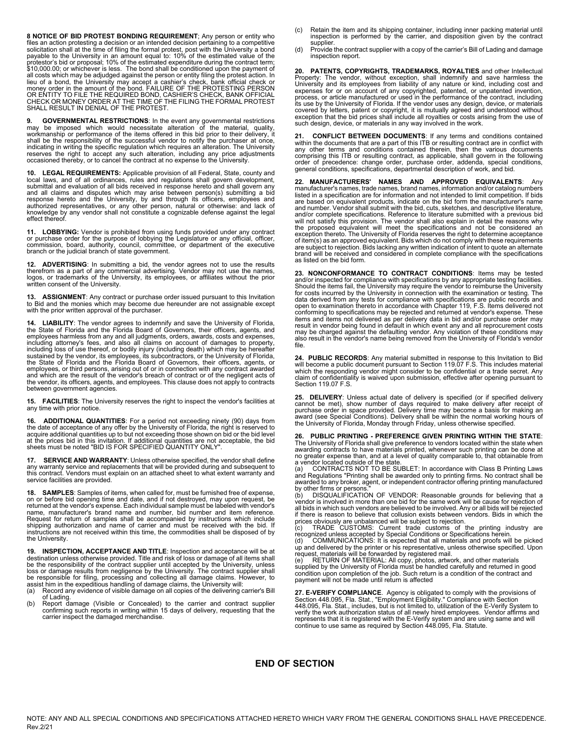**8 NOTICE OF BID PROTEST BONDING REQUIREMENT**; Any person or entity who files an action protesting a decision or an intended decision pertaining to a competitive<br>solicitation shall at the time of filing the formal protest, post with the University a bond<br>payable to the University in an amount protestor's bid or proposal; 10% of the estimated expenditure during the contract term; \$10,000.00; or whichever is less. The bond shall be conditioned upon the payment of all costs which may be adjudged against the person or entity filing the protest action. In<br>lieu of a bond, the University may accept a cashier's check, bank official check or<br>money order in the amount of the bond. FAILURE

**9. GOVERNMENTAL RESTRICTIONS:** In the event any governmental restrictions may be imposed which would necessitate alteration of the material, quality, workmanship or performance of the iems offered in this bid prior to the

**10. LEGAL REQUIREMENTS:** Applicable provision of all Federal, State, county and local laws, and of all ordinances, rules and regulations shall govern development, submittal and evaluation of all bids received in response hereto and shall govern any and all claims and disputes which may arise between person(s) submitting a bid<br>response hereto and the University, by and through its officers, employees and<br>authorized representatives, or any other person, natural or othe effect thereof.

11. LOBBYING: Vendor is prohibited from using funds provided under any contract<br>or purchase order for the purpose of lobbying the Legislature or any official, officer,<br>commission, board, authority, council, committee, or d

**12. ADVERTISING**: In submitting a bid, the vendor agrees not to use the results<br>therefrom as a part of any commercial advertising. Vendor may not use the names,<br>logos, or trademarks of the University, its employees, or af written consent of the University.

**13. ASSIGNMENT**: Any contract or purchase order issued pursuant to this Invitation<br>to Bid and the monies which may become due hereunder are not assignable except<br>with the prior written approval of the purchaser.

**14. LIABILITY**: The vendor agrees to indemnify and save the University of Florida, the State of Florida and the Florida Board of Governors, their officers, agents, and employees harmless from any and all judgments, orders, awards, costs and expenses,<br>including attorney's fees, and also all claims on account of damages to property,<br>including loss of use thereof, or bodily inju sustained by the vendor, its employees, its subcontractors, or the University of Florida,<br>the State of Florida and the Florida Board of Governors, their officers, agents, or<br>employees, or third persons, arising out of or i and which are the result of the vendor's breach of contract or of the negligent acts of the vendor, its officers, agents, and employees. This clause does not apply to contracts between government agencies.

**15. FACILITIES**: The University reserves the right to inspect the vendor's facilities at any time with prior notice.

**16. ADDITIONAL QUANTITIES**: For a period not exceeding ninety (90) days from the date of acceptance of any offer by the University of Florida, the right is reserved to acquire additional quantities up to but not exceeding those shown on bid or the bid level<br>at the prices bid in this invitation. If additional quantities are not acceptable, the bid<br>sheets must be noted "BID IS FOR SPECIFIE

**SERVICE AND WARRANTY:** Unless otherwise specified, the vendor shall define any warranty service and replacements that will be provided during and subsequent to this contract. Vendors must explain on an attached sheet to what extent warranty and service facilities are provided.

**18. SAMPLES**: Samples of items, when called for, must be furnished free of expense, on or before bid opening time and date, and if not destroyed, may upon request, be returned at the vendor's expense. Each individual sample must be labeled with vendor's name, manufacturer's brand name and number, bid number and item reference.<br>Request for return of samples shall be accompanied by instructions which include<br>shipping authorization and name of carrier and must be received wi instructions are not received within this time, the commodities shall be disposed of by the University.

**19. INSPECTION, ACCEPTANCE AND TITLE**: Inspection and acceptance will be at destination unless otherwise provided. Title and risk of loss or damage of all items shall be the responsibility of the contract supplier until accepted by the University, unless<br>loss or damage results from negligence by the University. The contract supplier shall<br>be responsible for filing, processing and collec

- (a) Record any evidence of visible damage on all copies of the delivering carrier's Bill
- of Lading. (b) Report damage (Visible or Concealed) to the carrier and contract supplier confirming such reports in writing within 15 days of delivery, requesting that the carrier inspect the damaged merchandise.
- (c) Retain the item and its shipping container, including inner packing material until inspection is performed by the carrier, and disposition given by the contract supplier.
- (d) Provide the contract supplier with a copy of the carrier's Bill of Lading and damage inspection report.

20. PATENTS, COPYRIGHTS, TRADEMARKS, ROYALTIES and other Intellectual Property: The vendor, without exception, shall indemnify and save harmless the University and its employees from lability of any nature or kind, includi its use by the University of Florida. If the vendor uses any design, device, or materials covered by letters, patent or copyright, it is mutually agreed and understood without exception that the bid prices shall include all royalties or costs arising from the use of such design, device, or materials in any way involved in the work.

**21. CONFLICT BETWEEN DOCUMENTS**: If any terms and conditions contained within the documents that are a part of this ITB or resulting contract are in conflict with any other terms and conditions contained therein, then the various documents<br>comprising this ITB or resulting contract, as applicable, shall govern in the following<br>order of precedence: change order, purchase order, addend general conditions, specifications, departmental description of work, and bid.

**22. MANUFACTURERS' NAMES AND APPROVED EQUIVALENTS**: Any manufacturer's names, trade names, brand names, information and/or catalog numbers listed in a specification are for information and not intended to limit competition. If bids are based on equivalent products, indicate on the bid form the manufacturer's name and number. Vendor shall submit with the bid, cuts, sketches, and descriptive literature,<br>and/or complete specifications. Reference to literature submitted with a previous bid will not satisfy this provision. The vendor shall also explain in detail the reasons why<br>the proposed equivalent will meet the specifications and not be considered an<br>exception thereto. The University of Florida of item(s) as an approved equivalent. Bids which do not comply with these requirements are subject to rejection. Bids lacking any written indication of intent to quote an alternate brand will be received and considered in complete compliance with the specifications as listed on the bid form.

**23. NONCONFORMANCE TO CONTRACT CONDITIONS**: Items may be tested and/or inspected for compliance with specifications by any appropriate testing facilities.<br>Should the items fail, the University may require the vendor to reimburse the University<br>for costs incurred by the University in co data derived from any tests for compliance with specifications are public records and<br>open to examination thereto in accordance with Chapter 119, F.S. Items delivered not<br>conforming to specifications may be rejected and re items and items not delivered as per delivery data in bid and/or purchase order may<br>result in vendor being found in default in which event any and all reprocurement costs<br>may be charged against the defaulting vendor. Any v also result in the vendor's name being removed from the University of Florida's vendor file.

**24. PUBLIC RECORDS**: Any material submitted in response to this Invitation to Bid<br>will become a public document pursuant to Section 119.07 F.S. This includes material<br>which the responding vendor might consider to be confi claim of confidentiality is waived upon submission, effective after opening pursuant to Section 119.07 F.S.

25. DELIVERY: Unless actual date of delivery is specified (or if specified delivery cannot be met), show number of days required to make delivery after receipt of purchase order in space provided. Delivery time may become

**26. PUBLIC PRINTING - PREFERENCE GIVEN PRINTING WITHIN THE STATE**: The University of Florida shall give preference to vendors located within the state when awarding contracts to have materials printed, whenever such printing can be done at no greater expense than, and at a level of quality comparable to, that obtainable from a vendor located outside of the state.

(a) CONTRACTS NOT TO BE SUBLET: In accordance with Class B Printing Laws<br>and Regulations "Printing shall be awarded only to printing firms. No contract shall be<br>awarded to any broker, agent, or independent contractor offer

by other firms or persons."<br>(b) DISQUALIFICATION OF VENDOR: Reasonable grounds for believing that a<br>vendor is involved in more than one bid for the same work will be cause for rejection of<br>all bids in which such vendors ar

prices obviously are unbalanced will be subject to rejection.<br>
(c) TRADE CUSTOMS: Current trade customs of the printing industry are<br>
recognized unless accepted by Special Conditions or Specifications herein.<br>
(d) COMMUNIC

payment will not be made until return is affected

**27. E-VERIFY COMPLIANCE**. Agency is obligated to comply with the provisions of<br>Section 448.095, Fla. Stat., "Employment Eligibility." Compliance with Section<br>448.095, Fla. Stat., includes, but is not limited to, utilizat verify the work authorization status of all newly hired employees. Vendor affirms and<br>represents that it is registered with the E-Verify system and are using same and will<br>continue to use same as required by Section 448.0

### **END OF SECTION**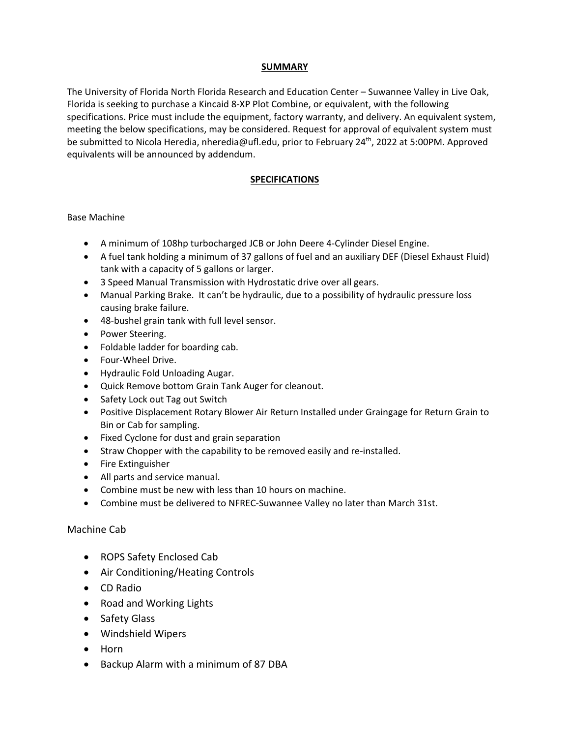### **SUMMARY**

The University of Florida North Florida Research and Education Center – Suwannee Valley in Live Oak, Florida is seeking to purchase a Kincaid 8‐XP Plot Combine, or equivalent, with the following specifications. Price must include the equipment, factory warranty, and delivery. An equivalent system, meeting the below specifications, may be considered. Request for approval of equivalent system must be submitted to Nicola Heredia, nheredia@ufl.edu, prior to February 24<sup>th</sup>, 2022 at 5:00PM. Approved equivalents will be announced by addendum.

### **SPECIFICATIONS**

### Base Machine

- A minimum of 108hp turbocharged JCB or John Deere 4‐Cylinder Diesel Engine.
- A fuel tank holding a minimum of 37 gallons of fuel and an auxiliary DEF (Diesel Exhaust Fluid) tank with a capacity of 5 gallons or larger.
- 3 Speed Manual Transmission with Hydrostatic drive over all gears.
- Manual Parking Brake. It can't be hydraulic, due to a possibility of hydraulic pressure loss causing brake failure.
- 48-bushel grain tank with full level sensor.
- Power Steering.
- Foldable ladder for boarding cab.
- Four-Wheel Drive.
- Hydraulic Fold Unloading Augar.
- Quick Remove bottom Grain Tank Auger for cleanout.
- Safety Lock out Tag out Switch
- Positive Displacement Rotary Blower Air Return Installed under Graingage for Return Grain to Bin or Cab for sampling.
- Fixed Cyclone for dust and grain separation
- Straw Chopper with the capability to be removed easily and re-installed.
- Fire Extinguisher
- All parts and service manual.
- Combine must be new with less than 10 hours on machine.
- Combine must be delivered to NFREC‐Suwannee Valley no later than March 31st.

### Machine Cab

- ROPS Safety Enclosed Cab
- Air Conditioning/Heating Controls
- CD Radio
- Road and Working Lights
- Safety Glass
- Windshield Wipers
- Horn
- Backup Alarm with a minimum of 87 DBA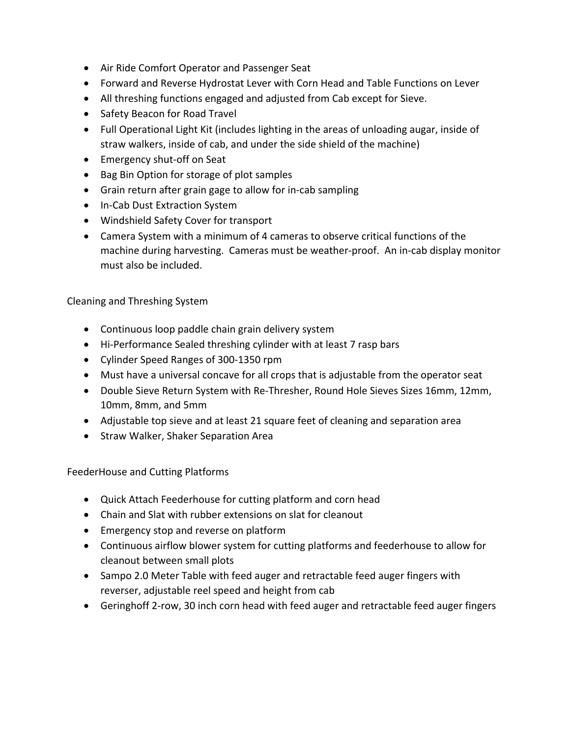- Air Ride Comfort Operator and Passenger Seat
- Forward and Reverse Hydrostat Lever with Corn Head and Table Functions on Lever
- All threshing functions engaged and adjusted from Cab except for Sieve.
- Safety Beacon for Road Travel
- Full Operational Light Kit (includes lighting in the areas of unloading augar, inside of straw walkers, inside of cab, and under the side shield of the machine)
- Emergency shut-off on Seat
- Bag Bin Option for storage of plot samples
- Grain return after grain gage to allow for in-cab sampling
- In-Cab Dust Extraction System
- Windshield Safety Cover for transport
- Camera System with a minimum of 4 cameras to observe critical functions of the machine during harvesting. Cameras must be weather‐proof. An in‐cab display monitor must also be included.

Cleaning and Threshing System

- Continuous loop paddle chain grain delivery system
- Hi-Performance Sealed threshing cylinder with at least 7 rasp bars
- Cylinder Speed Ranges of 300‐1350 rpm
- Must have a universal concave for all crops that is adjustable from the operator seat
- Double Sieve Return System with Re-Thresher, Round Hole Sieves Sizes 16mm, 12mm, 10mm, 8mm, and 5mm
- Adjustable top sieve and at least 21 square feet of cleaning and separation area
- Straw Walker, Shaker Separation Area

FeederHouse and Cutting Platforms

- Quick Attach Feederhouse for cutting platform and corn head
- Chain and Slat with rubber extensions on slat for cleanout
- Emergency stop and reverse on platform
- Continuous airflow blower system for cutting platforms and feederhouse to allow for cleanout between small plots
- Sampo 2.0 Meter Table with feed auger and retractable feed auger fingers with reverser, adjustable reel speed and height from cab
- Geringhoff 2-row, 30 inch corn head with feed auger and retractable feed auger fingers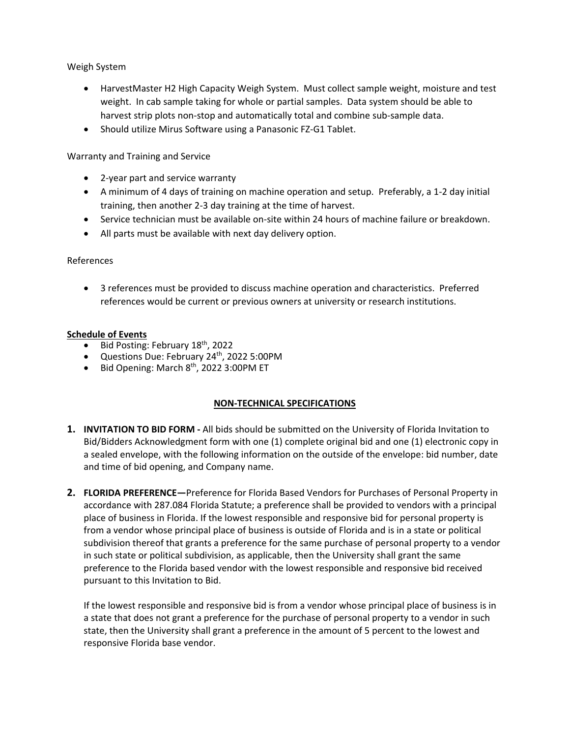Weigh System

- HarvestMaster H2 High Capacity Weigh System. Must collect sample weight, moisture and test weight. In cab sample taking for whole or partial samples. Data system should be able to harvest strip plots non‐stop and automatically total and combine sub‐sample data.
- Should utilize Mirus Software using a Panasonic FZ-G1 Tablet.

Warranty and Training and Service

- 2‐year part and service warranty
- A minimum of 4 days of training on machine operation and setup. Preferably, a 1-2 day initial training, then another 2‐3 day training at the time of harvest.
- Service technician must be available on-site within 24 hours of machine failure or breakdown.
- All parts must be available with next day delivery option.

#### References

 3 references must be provided to discuss machine operation and characteristics. Preferred references would be current or previous owners at university or research institutions.

#### **Schedule of Events**

- $\bullet$  Bid Posting: February 18<sup>th</sup>, 2022
- $\bullet$  Questions Due: February 24<sup>th</sup>, 2022 5:00PM
- Bid Opening: March 8<sup>th</sup>, 2022 3:00PM ET

### **NON‐TECHNICAL SPECIFICATIONS**

- **1. INVITATION TO BID FORM ‐** All bids should be submitted on the University of Florida Invitation to Bid/Bidders Acknowledgment form with one (1) complete original bid and one (1) electronic copy in a sealed envelope, with the following information on the outside of the envelope: bid number, date and time of bid opening, and Company name.
- **2. FLORIDA PREFERENCE—**Preference for Florida Based Vendors for Purchases of Personal Property in accordance with 287.084 Florida Statute; a preference shall be provided to vendors with a principal place of business in Florida. If the lowest responsible and responsive bid for personal property is from a vendor whose principal place of business is outside of Florida and is in a state or political subdivision thereof that grants a preference for the same purchase of personal property to a vendor in such state or political subdivision, as applicable, then the University shall grant the same preference to the Florida based vendor with the lowest responsible and responsive bid received pursuant to this Invitation to Bid.

If the lowest responsible and responsive bid is from a vendor whose principal place of business is in a state that does not grant a preference for the purchase of personal property to a vendor in such state, then the University shall grant a preference in the amount of 5 percent to the lowest and responsive Florida base vendor.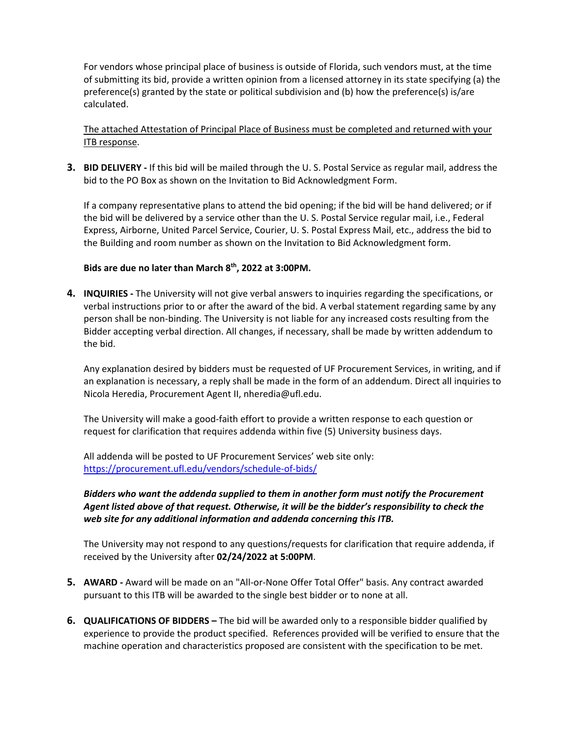For vendors whose principal place of business is outside of Florida, such vendors must, at the time of submitting its bid, provide a written opinion from a licensed attorney in its state specifying (a) the preference(s) granted by the state or political subdivision and (b) how the preference(s) is/are calculated.

The attached Attestation of Principal Place of Business must be completed and returned with your ITB response.

**3. BID DELIVERY ‐** If this bid will be mailed through the U. S. Postal Service as regular mail, address the bid to the PO Box as shown on the Invitation to Bid Acknowledgment Form.

If a company representative plans to attend the bid opening; if the bid will be hand delivered; or if the bid will be delivered by a service other than the U. S. Postal Service regular mail, i.e., Federal Express, Airborne, United Parcel Service, Courier, U. S. Postal Express Mail, etc., address the bid to the Building and room number as shown on the Invitation to Bid Acknowledgment form.

### **Bids are due no later than March 8th, 2022 at 3:00PM.**

**4. INQUIRIES ‐** The University will not give verbal answers to inquiries regarding the specifications, or verbal instructions prior to or after the award of the bid. A verbal statement regarding same by any person shall be non‐binding. The University is not liable for any increased costs resulting from the Bidder accepting verbal direction. All changes, if necessary, shall be made by written addendum to the bid.

Any explanation desired by bidders must be requested of UF Procurement Services, in writing, and if an explanation is necessary, a reply shall be made in the form of an addendum. Direct all inquiries to Nicola Heredia, Procurement Agent II, nheredia@ufl.edu.

The University will make a good‐faith effort to provide a written response to each question or request for clarification that requires addenda within five (5) University business days.

All addenda will be posted to UF Procurement Services' web site only: https://procurement.ufl.edu/vendors/schedule‐of‐bids/

### *Bidders who want the addenda supplied to them in another form must notify the Procurement Agent listed above of that request. Otherwise, it will be the bidder's responsibility to check the web site for any additional information and addenda concerning this ITB.*

The University may not respond to any questions/requests for clarification that require addenda, if received by the University after **02/24/2022 at 5:00PM**.

- **5. AWARD ‐** Award will be made on an "All‐or‐None Offer Total Offer" basis. Any contract awarded pursuant to this ITB will be awarded to the single best bidder or to none at all.
- **6. QUALIFICATIONS OF BIDDERS –** The bid will be awarded only to a responsible bidder qualified by experience to provide the product specified. References provided will be verified to ensure that the machine operation and characteristics proposed are consistent with the specification to be met.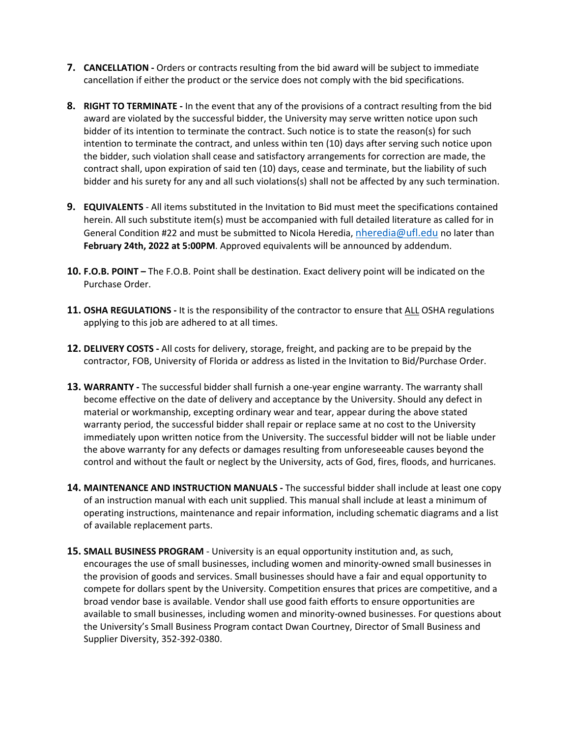- **7. CANCELLATION ‐** Orders or contracts resulting from the bid award will be subject to immediate cancellation if either the product or the service does not comply with the bid specifications.
- **8. RIGHT TO TERMINATE ‐** In the event that any of the provisions of a contract resulting from the bid award are violated by the successful bidder, the University may serve written notice upon such bidder of its intention to terminate the contract. Such notice is to state the reason(s) for such intention to terminate the contract, and unless within ten (10) days after serving such notice upon the bidder, such violation shall cease and satisfactory arrangements for correction are made, the contract shall, upon expiration of said ten (10) days, cease and terminate, but the liability of such bidder and his surety for any and all such violations(s) shall not be affected by any such termination.
- **9. EQUIVALENTS** ‐ All items substituted in the Invitation to Bid must meet the specifications contained herein. All such substitute item(s) must be accompanied with full detailed literature as called for in General Condition #22 and must be submitted to Nicola Heredia, nheredia@ufl.edu no later than **February 24th, 2022 at 5:00PM**. Approved equivalents will be announced by addendum.
- **10. F.O.B. POINT –** The F.O.B. Point shall be destination. Exact delivery point will be indicated on the Purchase Order.
- **11. OSHA REGULATIONS ‐** It is the responsibility of the contractor to ensure that ALL OSHA regulations applying to this job are adhered to at all times.
- **12. DELIVERY COSTS ‐** All costs for delivery, storage, freight, and packing are to be prepaid by the contractor, FOB, University of Florida or address as listed in the Invitation to Bid/Purchase Order.
- **13. WARRANTY ‐** The successful bidder shall furnish a one‐year engine warranty. The warranty shall become effective on the date of delivery and acceptance by the University. Should any defect in material or workmanship, excepting ordinary wear and tear, appear during the above stated warranty period, the successful bidder shall repair or replace same at no cost to the University immediately upon written notice from the University. The successful bidder will not be liable under the above warranty for any defects or damages resulting from unforeseeable causes beyond the control and without the fault or neglect by the University, acts of God, fires, floods, and hurricanes.
- **14. MAINTENANCE AND INSTRUCTION MANUALS ‐** The successful bidder shall include at least one copy of an instruction manual with each unit supplied. This manual shall include at least a minimum of operating instructions, maintenance and repair information, including schematic diagrams and a list of available replacement parts.
- **15. SMALL BUSINESS PROGRAM** ‐ University is an equal opportunity institution and, as such, encourages the use of small businesses, including women and minority‐owned small businesses in the provision of goods and services. Small businesses should have a fair and equal opportunity to compete for dollars spent by the University. Competition ensures that prices are competitive, and a broad vendor base is available. Vendor shall use good faith efforts to ensure opportunities are available to small businesses, including women and minority‐owned businesses. For questions about the University's Small Business Program contact Dwan Courtney, Director of Small Business and Supplier Diversity, 352‐392‐0380.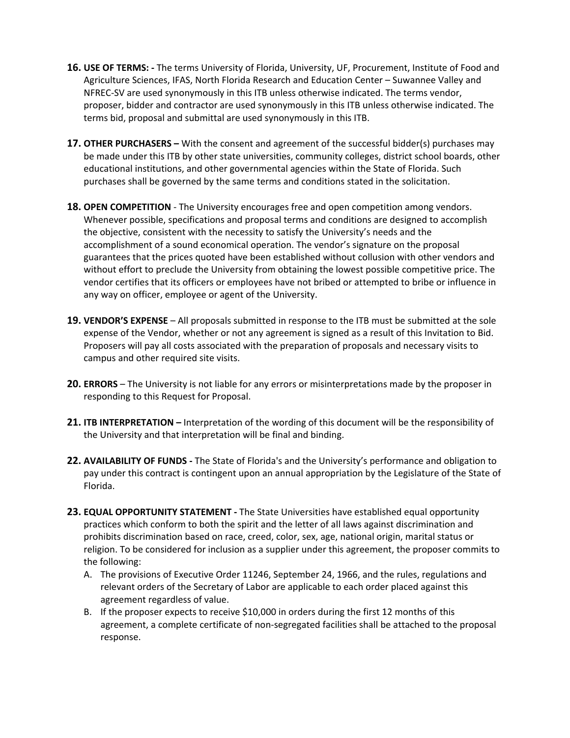- **16. USE OF TERMS: ‐** The terms University of Florida, University, UF, Procurement, Institute of Food and Agriculture Sciences, IFAS, North Florida Research and Education Center – Suwannee Valley and NFREC‐SV are used synonymously in this ITB unless otherwise indicated. The terms vendor, proposer, bidder and contractor are used synonymously in this ITB unless otherwise indicated. The terms bid, proposal and submittal are used synonymously in this ITB.
- **17. OTHER PURCHASERS –** With the consent and agreement of the successful bidder(s) purchases may be made under this ITB by other state universities, community colleges, district school boards, other educational institutions, and other governmental agencies within the State of Florida. Such purchases shall be governed by the same terms and conditions stated in the solicitation.
- **18. OPEN COMPETITION** ‐ The University encourages free and open competition among vendors. Whenever possible, specifications and proposal terms and conditions are designed to accomplish the objective, consistent with the necessity to satisfy the University's needs and the accomplishment of a sound economical operation. The vendor's signature on the proposal guarantees that the prices quoted have been established without collusion with other vendors and without effort to preclude the University from obtaining the lowest possible competitive price. The vendor certifies that its officers or employees have not bribed or attempted to bribe or influence in any way on officer, employee or agent of the University.
- **19. VENDOR'S EXPENSE** All proposals submitted in response to the ITB must be submitted at the sole expense of the Vendor, whether or not any agreement is signed as a result of this Invitation to Bid. Proposers will pay all costs associated with the preparation of proposals and necessary visits to campus and other required site visits.
- **20. ERRORS** The University is not liable for any errors or misinterpretations made by the proposer in responding to this Request for Proposal.
- **21. ITB INTERPRETATION –** Interpretation of the wording of this document will be the responsibility of the University and that interpretation will be final and binding.
- **22. AVAILABILITY OF FUNDS ‐** The State of Florida's and the University's performance and obligation to pay under this contract is contingent upon an annual appropriation by the Legislature of the State of Florida.
- **23. EQUAL OPPORTUNITY STATEMENT ‐** The State Universities have established equal opportunity practices which conform to both the spirit and the letter of all laws against discrimination and prohibits discrimination based on race, creed, color, sex, age, national origin, marital status or religion. To be considered for inclusion as a supplier under this agreement, the proposer commits to the following:
	- A. The provisions of Executive Order 11246, September 24, 1966, and the rules, regulations and relevant orders of the Secretary of Labor are applicable to each order placed against this agreement regardless of value.
	- B. If the proposer expects to receive \$10,000 in orders during the first 12 months of this agreement, a complete certificate of non‐segregated facilities shall be attached to the proposal response.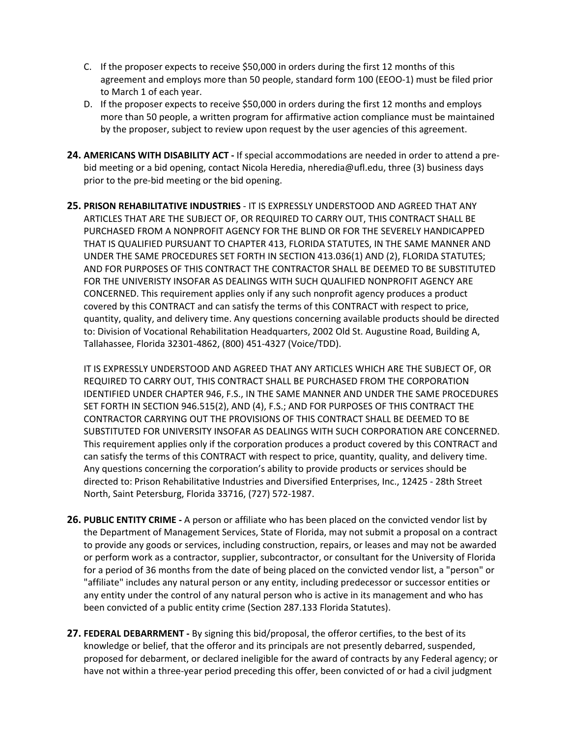- C. If the proposer expects to receive \$50,000 in orders during the first 12 months of this agreement and employs more than 50 people, standard form 100 (EEOO‐1) must be filed prior to March 1 of each year.
- D. If the proposer expects to receive \$50,000 in orders during the first 12 months and employs more than 50 people, a written program for affirmative action compliance must be maintained by the proposer, subject to review upon request by the user agencies of this agreement.
- **24. AMERICANS WITH DISABILITY ACT ‐** If special accommodations are needed in order to attend a pre‐ bid meeting or a bid opening, contact Nicola Heredia, nheredia@ufl.edu, three (3) business days prior to the pre‐bid meeting or the bid opening.
- **25. PRISON REHABILITATIVE INDUSTRIES** ‐ IT IS EXPRESSLY UNDERSTOOD AND AGREED THAT ANY ARTICLES THAT ARE THE SUBJECT OF, OR REQUIRED TO CARRY OUT, THIS CONTRACT SHALL BE PURCHASED FROM A NONPROFIT AGENCY FOR THE BLIND OR FOR THE SEVERELY HANDICAPPED THAT IS QUALIFIED PURSUANT TO CHAPTER 413, FLORIDA STATUTES, IN THE SAME MANNER AND UNDER THE SAME PROCEDURES SET FORTH IN SECTION 413.036(1) AND (2), FLORIDA STATUTES; AND FOR PURPOSES OF THIS CONTRACT THE CONTRACTOR SHALL BE DEEMED TO BE SUBSTITUTED FOR THE UNIVERISTY INSOFAR AS DEALINGS WITH SUCH QUALIFIED NONPROFIT AGENCY ARE CONCERNED. This requirement applies only if any such nonprofit agency produces a product covered by this CONTRACT and can satisfy the terms of this CONTRACT with respect to price, quantity, quality, and delivery time. Any questions concerning available products should be directed to: Division of Vocational Rehabilitation Headquarters, 2002 Old St. Augustine Road, Building A, Tallahassee, Florida 32301‐4862, (800) 451‐4327 (Voice/TDD).

IT IS EXPRESSLY UNDERSTOOD AND AGREED THAT ANY ARTICLES WHICH ARE THE SUBJECT OF, OR REQUIRED TO CARRY OUT, THIS CONTRACT SHALL BE PURCHASED FROM THE CORPORATION IDENTIFIED UNDER CHAPTER 946, F.S., IN THE SAME MANNER AND UNDER THE SAME PROCEDURES SET FORTH IN SECTION 946.515(2), AND (4), F.S.; AND FOR PURPOSES OF THIS CONTRACT THE CONTRACTOR CARRYING OUT THE PROVISIONS OF THIS CONTRACT SHALL BE DEEMED TO BE SUBSTITUTED FOR UNIVERSITY INSOFAR AS DEALINGS WITH SUCH CORPORATION ARE CONCERNED. This requirement applies only if the corporation produces a product covered by this CONTRACT and can satisfy the terms of this CONTRACT with respect to price, quantity, quality, and delivery time. Any questions concerning the corporation's ability to provide products or services should be directed to: Prison Rehabilitative Industries and Diversified Enterprises, Inc., 12425 ‐ 28th Street North, Saint Petersburg, Florida 33716, (727) 572‐1987.

- **26. PUBLIC ENTITY CRIME ‐** A person or affiliate who has been placed on the convicted vendor list by the Department of Management Services, State of Florida, may not submit a proposal on a contract to provide any goods or services, including construction, repairs, or leases and may not be awarded or perform work as a contractor, supplier, subcontractor, or consultant for the University of Florida for a period of 36 months from the date of being placed on the convicted vendor list, a "person" or "affiliate" includes any natural person or any entity, including predecessor or successor entities or any entity under the control of any natural person who is active in its management and who has been convicted of a public entity crime (Section 287.133 Florida Statutes).
- **27. FEDERAL DEBARRMENT ‐** By signing this bid/proposal, the offeror certifies, to the best of its knowledge or belief, that the offeror and its principals are not presently debarred, suspended, proposed for debarment, or declared ineligible for the award of contracts by any Federal agency; or have not within a three-year period preceding this offer, been convicted of or had a civil judgment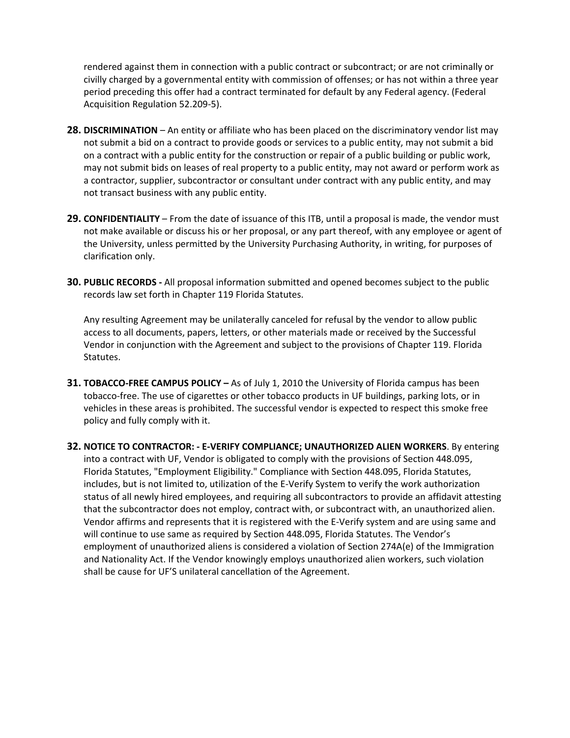rendered against them in connection with a public contract or subcontract; or are not criminally or civilly charged by a governmental entity with commission of offenses; or has not within a three year period preceding this offer had a contract terminated for default by any Federal agency. (Federal Acquisition Regulation 52.209‐5).

- **28. DISCRIMINATION** An entity or affiliate who has been placed on the discriminatory vendor list may not submit a bid on a contract to provide goods or services to a public entity, may not submit a bid on a contract with a public entity for the construction or repair of a public building or public work, may not submit bids on leases of real property to a public entity, may not award or perform work as a contractor, supplier, subcontractor or consultant under contract with any public entity, and may not transact business with any public entity.
- **29. CONFIDENTIALITY** From the date of issuance of this ITB, until a proposal is made, the vendor must not make available or discuss his or her proposal, or any part thereof, with any employee or agent of the University, unless permitted by the University Purchasing Authority, in writing, for purposes of clarification only.
- **30. PUBLIC RECORDS ‐** All proposal information submitted and opened becomes subject to the public records law set forth in Chapter 119 Florida Statutes.

Any resulting Agreement may be unilaterally canceled for refusal by the vendor to allow public access to all documents, papers, letters, or other materials made or received by the Successful Vendor in conjunction with the Agreement and subject to the provisions of Chapter 119. Florida Statutes.

- **31. TOBACCO‐FREE CAMPUS POLICY –** As of July 1, 2010 the University of Florida campus has been tobacco‐free. The use of cigarettes or other tobacco products in UF buildings, parking lots, or in vehicles in these areas is prohibited. The successful vendor is expected to respect this smoke free policy and fully comply with it.
- **32. NOTICE TO CONTRACTOR: ‐ E‐VERIFY COMPLIANCE; UNAUTHORIZED ALIEN WORKERS**. By entering into a contract with UF, Vendor is obligated to comply with the provisions of Section 448.095, Florida Statutes, "Employment Eligibility." Compliance with Section 448.095, Florida Statutes, includes, but is not limited to, utilization of the E‐Verify System to verify the work authorization status of all newly hired employees, and requiring all subcontractors to provide an affidavit attesting that the subcontractor does not employ, contract with, or subcontract with, an unauthorized alien. Vendor affirms and represents that it is registered with the E‐Verify system and are using same and will continue to use same as required by Section 448.095, Florida Statutes. The Vendor's employment of unauthorized aliens is considered a violation of Section 274A(e) of the Immigration and Nationality Act. If the Vendor knowingly employs unauthorized alien workers, such violation shall be cause for UF'S unilateral cancellation of the Agreement.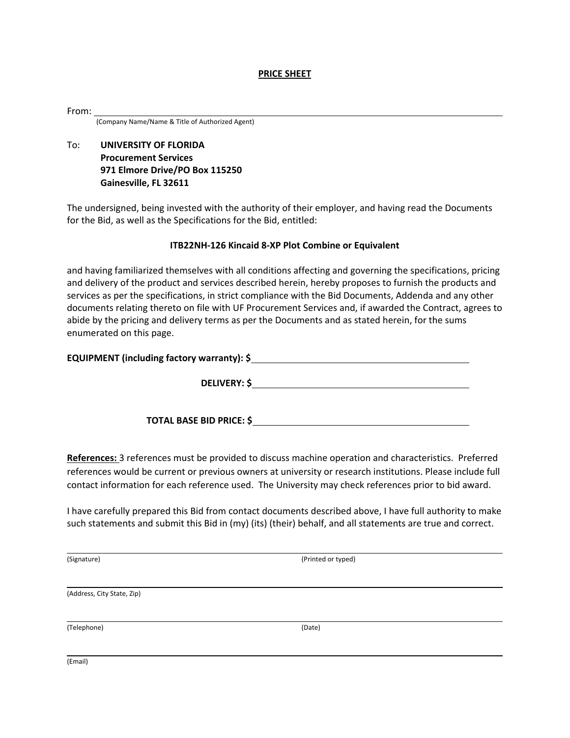#### **PRICE SHEET**

From:

(Company Name/Name & Title of Authorized Agent)

To: **UNIVERSITY OF FLORIDA Procurement Services 971 Elmore Drive/PO Box 115250 Gainesville, FL 32611**

The undersigned, being invested with the authority of their employer, and having read the Documents for the Bid, as well as the Specifications for the Bid, entitled:

#### **ITB22NH‐126 Kincaid 8‐XP Plot Combine or Equivalent**

and having familiarized themselves with all conditions affecting and governing the specifications, pricing and delivery of the product and services described herein, hereby proposes to furnish the products and services as per the specifications, in strict compliance with the Bid Documents, Addenda and any other documents relating thereto on file with UF Procurement Services and, if awarded the Contract, agrees to abide by the pricing and delivery terms as per the Documents and as stated herein, for the sums enumerated on this page.

| EQUIPMENT (including factory warranty): \$ |
|--------------------------------------------|
|--------------------------------------------|

**DELIVERY: \$** 

**TOTAL BASE BID PRICE: \$** 

**References:** 3 references must be provided to discuss machine operation and characteristics. Preferred references would be current or previous owners at university or research institutions. Please include full contact information for each reference used. The University may check references prior to bid award.

I have carefully prepared this Bid from contact documents described above, I have full authority to make such statements and submit this Bid in (my) (its) (their) behalf, and all statements are true and correct.

(Signature) (Printed or typed)

(Address, City State, Zip)

(Telephone) (Date)

(Email)